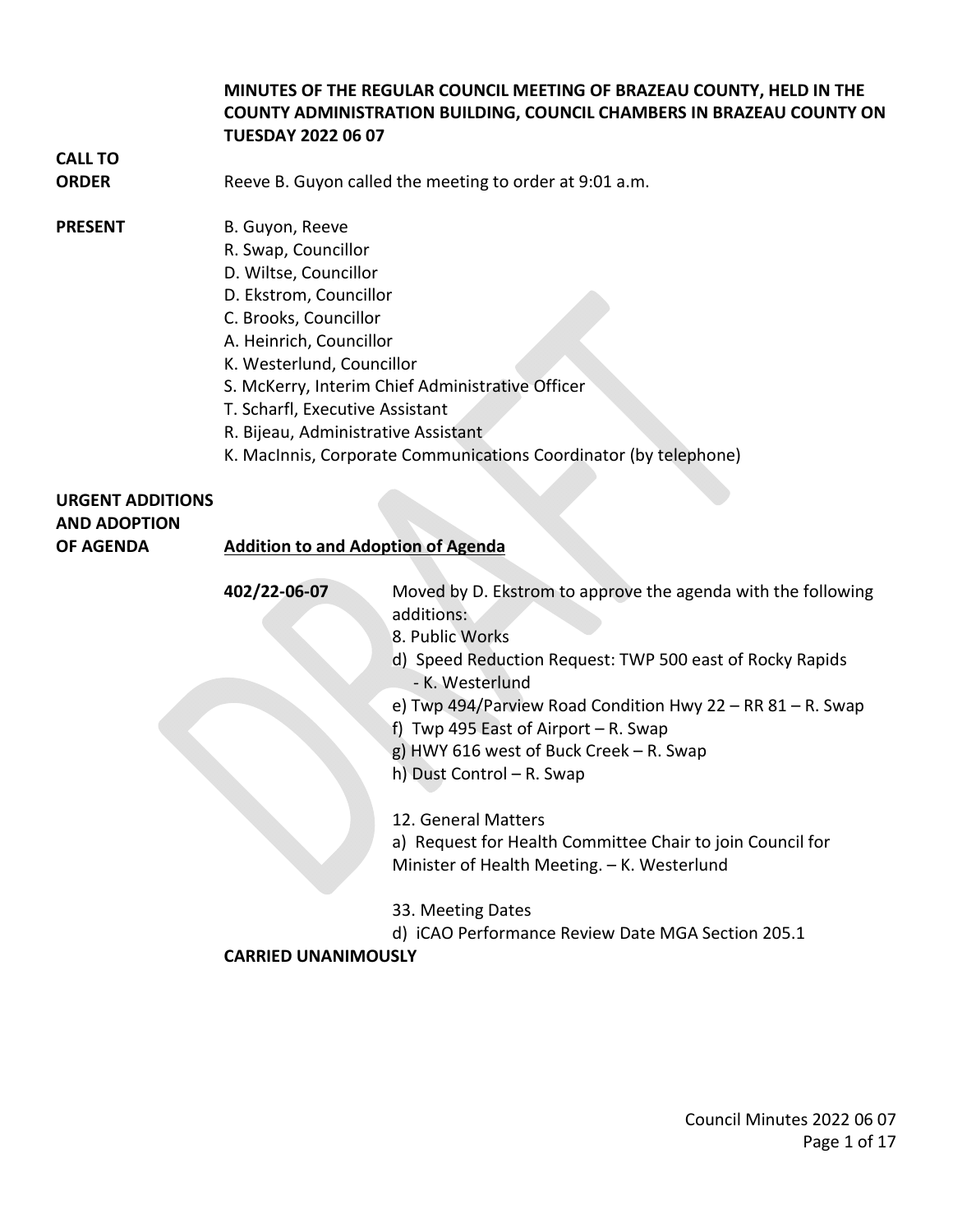### **MINUTES OF THE REGULAR COUNCIL MEETING OF BRAZEAU COUNTY, HELD IN THE COUNTY ADMINISTRATION BUILDING, COUNCIL CHAMBERS IN BRAZEAU COUNTY ON TUESDAY 2022 06 07**

## **CALL TO**

**ORDER** Reeve B. Guyon called the meeting to order at 9:01 a.m.

### **PRESENT** B. Guyon, Reeve

- R. Swap, Councillor
- D. Wiltse, Councillor
- D. Ekstrom, Councillor
- C. Brooks, Councillor
- A. Heinrich, Councillor
- K. Westerlund, Councillor
- S. McKerry, Interim Chief Administrative Officer
- T. Scharfl, Executive Assistant
- R. Bijeau, Administrative Assistant
- K. MacInnis, Corporate Communications Coordinator (by telephone)

## **URGENT ADDITIONS AND ADOPTION**

### **OF AGENDA Addition to and Adoption of Agenda**

**402/22-06-07** Moved by D. Ekstrom to approve the agenda with the following additions: 8. Public Works

- 
- d) Speed Reduction Request: TWP 500 east of Rocky Rapids - K. Westerlund
- e) Twp 494/Parview Road Condition Hwy 22 RR 81 R. Swap
- f) Twp 495 East of Airport R. Swap
- g) HWY 616 west of Buck Creek R. Swap
- h) Dust Control R. Swap
- 12. General Matters

a) Request for Health Committee Chair to join Council for Minister of Health Meeting. – K. Westerlund

- 33. Meeting Dates
- d) iCAO Performance Review Date MGA Section 205.1

### **CARRIED UNANIMOUSLY**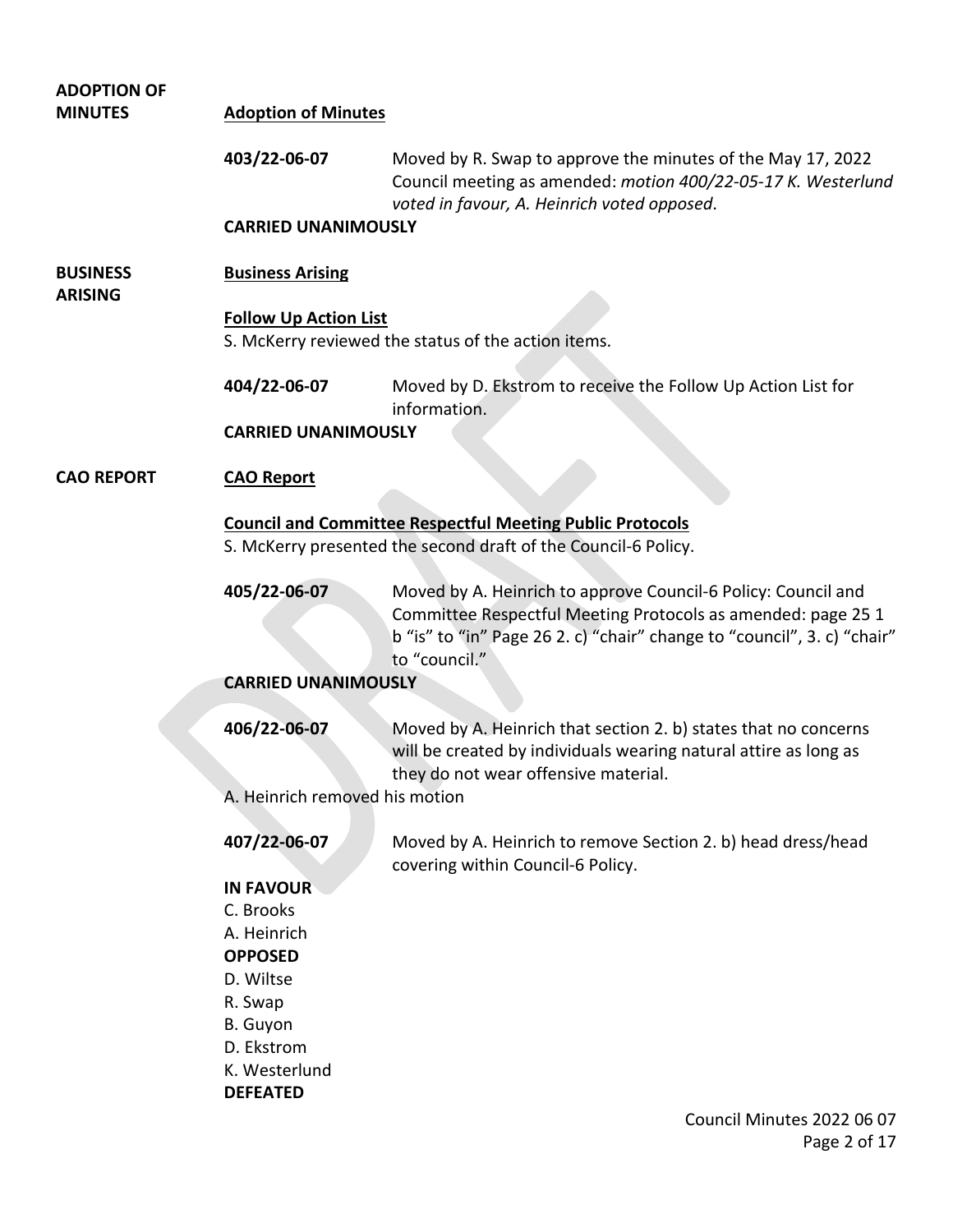| <b>ADOPTION OF</b>                |                                                                                     |                                                                                                                                                                                                                           |  |
|-----------------------------------|-------------------------------------------------------------------------------------|---------------------------------------------------------------------------------------------------------------------------------------------------------------------------------------------------------------------------|--|
| <b>MINUTES</b>                    | <b>Adoption of Minutes</b>                                                          |                                                                                                                                                                                                                           |  |
|                                   | 403/22-06-07                                                                        | Moved by R. Swap to approve the minutes of the May 17, 2022<br>Council meeting as amended: motion 400/22-05-17 K. Westerlund<br>voted in favour, A. Heinrich voted opposed.                                               |  |
|                                   | <b>CARRIED UNANIMOUSLY</b>                                                          |                                                                                                                                                                                                                           |  |
| <b>BUSINESS</b><br><b>ARISING</b> | <b>Business Arising</b>                                                             |                                                                                                                                                                                                                           |  |
|                                   | <b>Follow Up Action List</b><br>S. McKerry reviewed the status of the action items. |                                                                                                                                                                                                                           |  |
|                                   | 404/22-06-07                                                                        | Moved by D. Ekstrom to receive the Follow Up Action List for<br>information.                                                                                                                                              |  |
|                                   | <b>CARRIED UNANIMOUSLY</b>                                                          |                                                                                                                                                                                                                           |  |
| <b>CAO REPORT</b>                 | <b>CAO Report</b>                                                                   |                                                                                                                                                                                                                           |  |
|                                   |                                                                                     | <b>Council and Committee Respectful Meeting Public Protocols</b>                                                                                                                                                          |  |
|                                   |                                                                                     | S. McKerry presented the second draft of the Council-6 Policy.                                                                                                                                                            |  |
|                                   | 405/22-06-07                                                                        | Moved by A. Heinrich to approve Council-6 Policy: Council and<br>Committee Respectful Meeting Protocols as amended: page 25 1<br>b "is" to "in" Page 26 2. c) "chair" change to "council", 3. c) "chair"<br>to "council." |  |
|                                   | <b>CARRIED UNANIMOUSLY</b>                                                          |                                                                                                                                                                                                                           |  |
|                                   | 406/22-06-07                                                                        | Moved by A. Heinrich that section 2. b) states that no concerns<br>will be created by individuals wearing natural attire as long as<br>they do not wear offensive material.                                               |  |
|                                   | A. Heinrich removed his motion                                                      |                                                                                                                                                                                                                           |  |
|                                   | 407/22-06-07                                                                        | Moved by A. Heinrich to remove Section 2. b) head dress/head<br>covering within Council-6 Policy.                                                                                                                         |  |
|                                   | <b>IN FAVOUR</b>                                                                    |                                                                                                                                                                                                                           |  |
|                                   | C. Brooks                                                                           |                                                                                                                                                                                                                           |  |
|                                   | A. Heinrich                                                                         |                                                                                                                                                                                                                           |  |
|                                   | <b>OPPOSED</b>                                                                      |                                                                                                                                                                                                                           |  |
|                                   | D. Wiltse                                                                           |                                                                                                                                                                                                                           |  |
|                                   | R. Swap                                                                             |                                                                                                                                                                                                                           |  |
|                                   | B. Guyon                                                                            |                                                                                                                                                                                                                           |  |
|                                   | D. Ekstrom<br>K. Westerlund                                                         |                                                                                                                                                                                                                           |  |
|                                   | <b>DEFEATED</b>                                                                     |                                                                                                                                                                                                                           |  |
|                                   |                                                                                     | Council Minutes 2022 06 07                                                                                                                                                                                                |  |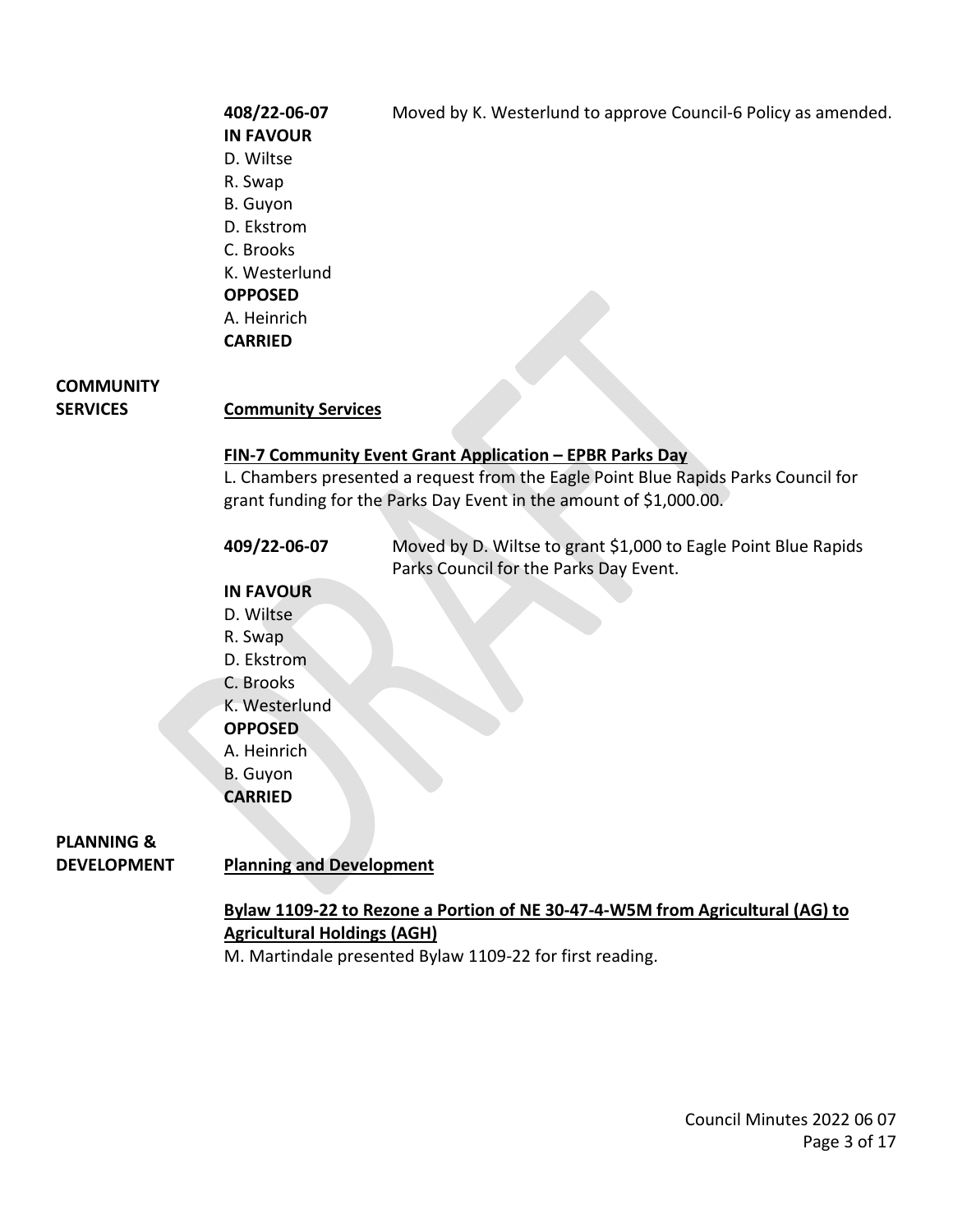**IN FAVOUR** D. Wiltse R. Swap B. Guyon D. Ekstrom C. Brooks K. Westerlund **OPPOSED** A. Heinrich **CARRIED** 

**408/22-06-07** Moved by K. Westerlund to approve Council-6 Policy as amended.

## **COMMUNITY**

### **SERVICES Community Services**

#### **FIN-7 Community Event Grant Application – EPBR Parks Day**

L. Chambers presented a request from the Eagle Point Blue Rapids Parks Council for grant funding for the Parks Day Event in the amount of \$1,000.00.

| 409/22-06-07 | Moved by D. Wiltse to grant \$1,000 to Eagle Point Blue Rapids |
|--------------|----------------------------------------------------------------|
|              | Parks Council for the Parks Day Event.                         |

### **IN FAVOUR**

D. Wiltse R. Swap D. Ekstrom C. Brooks K. Westerlund **OPPOSED** A. Heinrich B. Guyon

**CARRIED** 

## **PLANNING &**

**DEVELOPMENT Planning and Development** 

### **Bylaw 1109-22 to Rezone a Portion of NE 30-47-4-W5M from Agricultural (AG) to Agricultural Holdings (AGH)**

M. Martindale presented Bylaw 1109-22 for first reading.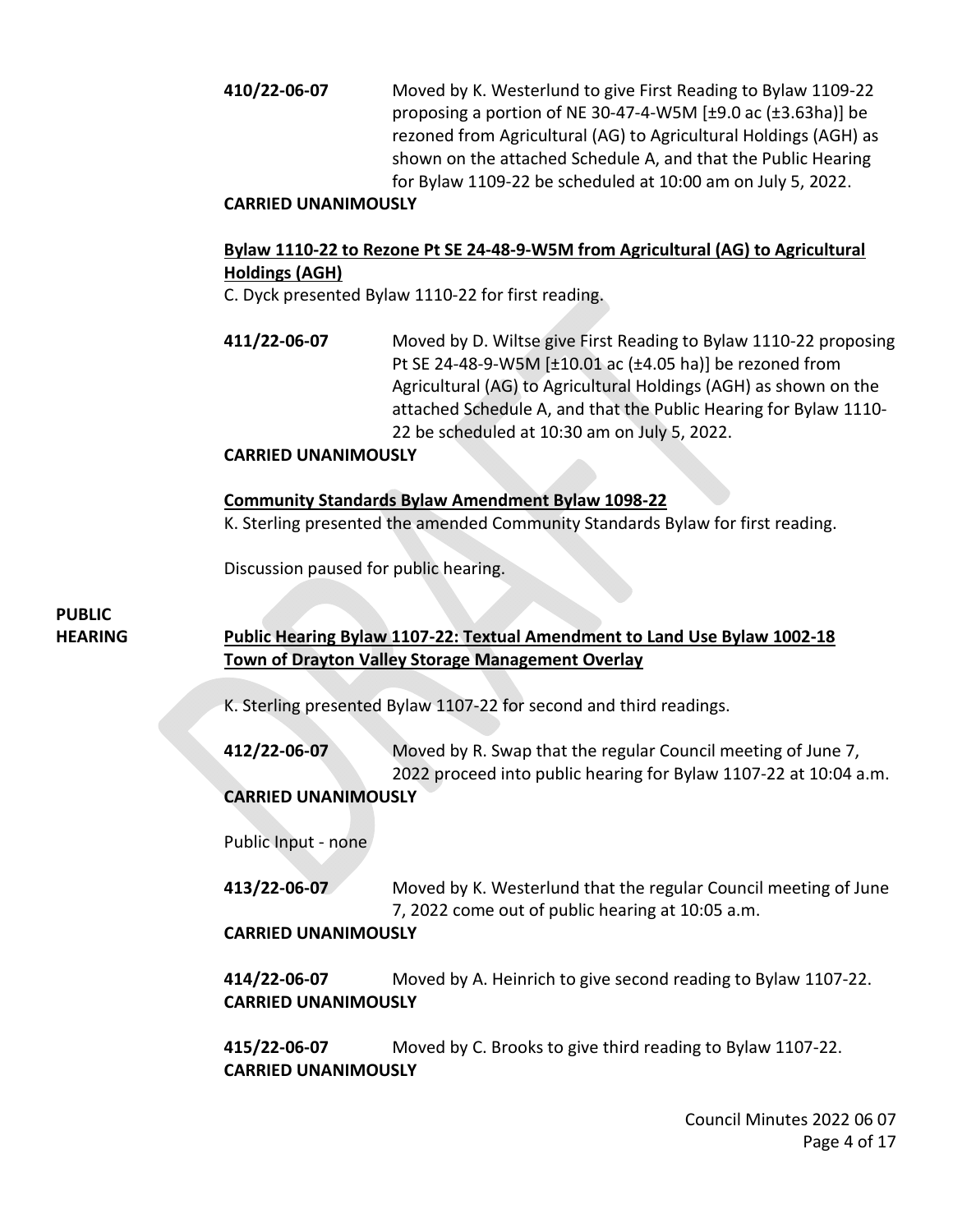**410/22-06-07** Moved by K. Westerlund to give First Reading to Bylaw 1109-22 proposing a portion of NE 30-47-4-W5M [±9.0 ac (±3.63ha)] be rezoned from Agricultural (AG) to Agricultural Holdings (AGH) as shown on the attached Schedule A, and that the Public Hearing for Bylaw 1109-22 be scheduled at 10:00 am on July 5, 2022.

### **CARRIED UNANIMOUSLY**

### **Bylaw 1110-22 to Rezone Pt SE 24-48-9-W5M from Agricultural (AG) to Agricultural Holdings (AGH)**

C. Dyck presented Bylaw 1110-22 for first reading.

**411/22-06-07** Moved by D. Wiltse give First Reading to Bylaw 1110-22 proposing Pt SE 24-48-9-W5M [±10.01 ac (±4.05 ha)] be rezoned from Agricultural (AG) to Agricultural Holdings (AGH) as shown on the attached Schedule A, and that the Public Hearing for Bylaw 1110- 22 be scheduled at 10:30 am on July 5, 2022.

### **CARRIED UNANIMOUSLY**

### **Community Standards Bylaw Amendment Bylaw 1098-22**

K. Sterling presented the amended Community Standards Bylaw for first reading.

Discussion paused for public hearing.

## **PUBLIC**

### **HEARING Public Hearing Bylaw 1107-22: Textual Amendment to Land Use Bylaw 1002-18 Town of Drayton Valley Storage Management Overlay**

K. Sterling presented Bylaw 1107-22 for second and third readings.

**412/22-06-07** Moved by R. Swap that the regular Council meeting of June 7, 2022 proceed into public hearing for Bylaw 1107-22 at 10:04 a.m. **CARRIED UNANIMOUSLY** 

Public Input - none

**413/22-06-07** Moved by K. Westerlund that the regular Council meeting of June 7, 2022 come out of public hearing at 10:05 a.m.

### **CARRIED UNANIMOUSLY**

**414/22-06-07** Moved by A. Heinrich to give second reading to Bylaw 1107-22. **CARRIED UNANIMOUSLY** 

**415/22-06-07** Moved by C. Brooks to give third reading to Bylaw 1107-22. **CARRIED UNANIMOUSLY**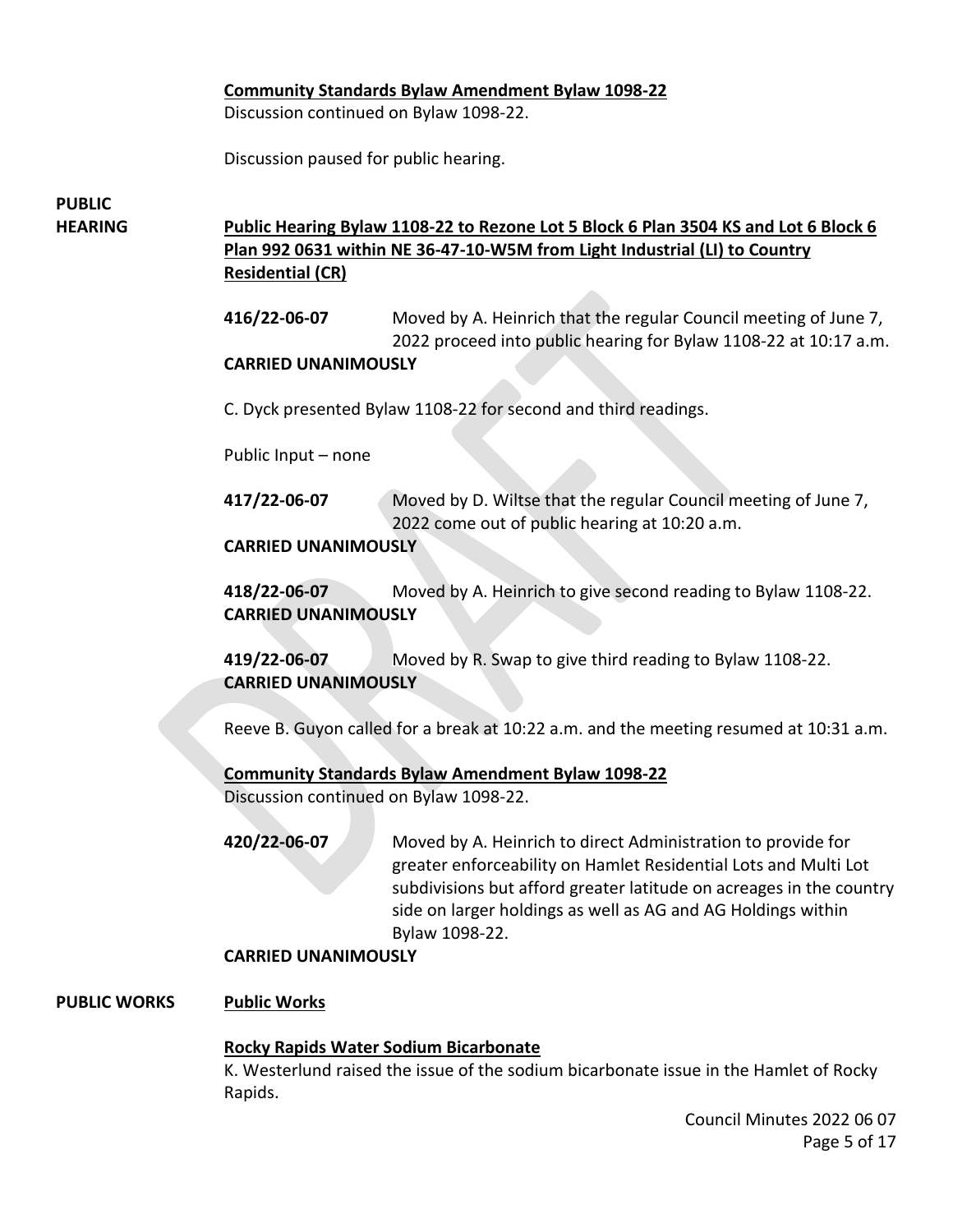### **Community Standards Bylaw Amendment Bylaw 1098-22**

Discussion continued on Bylaw 1098-22.

Discussion paused for public hearing.

## **PUBLIC**

### **HEARING Public Hearing Bylaw 1108-22 to Rezone Lot 5 Block 6 Plan 3504 KS and Lot 6 Block 6 Plan 992 0631 within NE 36-47-10-W5M from Light Industrial (LI) to Country Residential (CR)**

**416/22-06-07** Moved by A. Heinrich that the regular Council meeting of June 7, 2022 proceed into public hearing for Bylaw 1108-22 at 10:17 a.m.

### **CARRIED UNANIMOUSLY**

C. Dyck presented Bylaw 1108-22 for second and third readings.

Public Input – none

**417/22-06-07** Moved by D. Wiltse that the regular Council meeting of June 7, 2022 come out of public hearing at 10:20 a.m.

**CARRIED UNANIMOUSLY** 

**418/22-06-07** Moved by A. Heinrich to give second reading to Bylaw 1108-22. **CARRIED UNANIMOUSLY** 

**419/22-06-07** Moved by R. Swap to give third reading to Bylaw 1108-22. **CARRIED UNANIMOUSLY**

Reeve B. Guyon called for a break at 10:22 a.m. and the meeting resumed at 10:31 a.m.

### **Community Standards Bylaw Amendment Bylaw 1098-22**

Discussion continued on Bylaw 1098-22.

**420/22-06-07** Moved by A. Heinrich to direct Administration to provide for greater enforceability on Hamlet Residential Lots and Multi Lot subdivisions but afford greater latitude on acreages in the country side on larger holdings as well as AG and AG Holdings within Bylaw 1098-22.

### **CARRIED UNANIMOUSLY**

### **PUBLIC WORKS Public Works**

### **Rocky Rapids Water Sodium Bicarbonate**

K. Westerlund raised the issue of the sodium bicarbonate issue in the Hamlet of Rocky Rapids.

> Council Minutes 2022 06 07 Page 5 of 17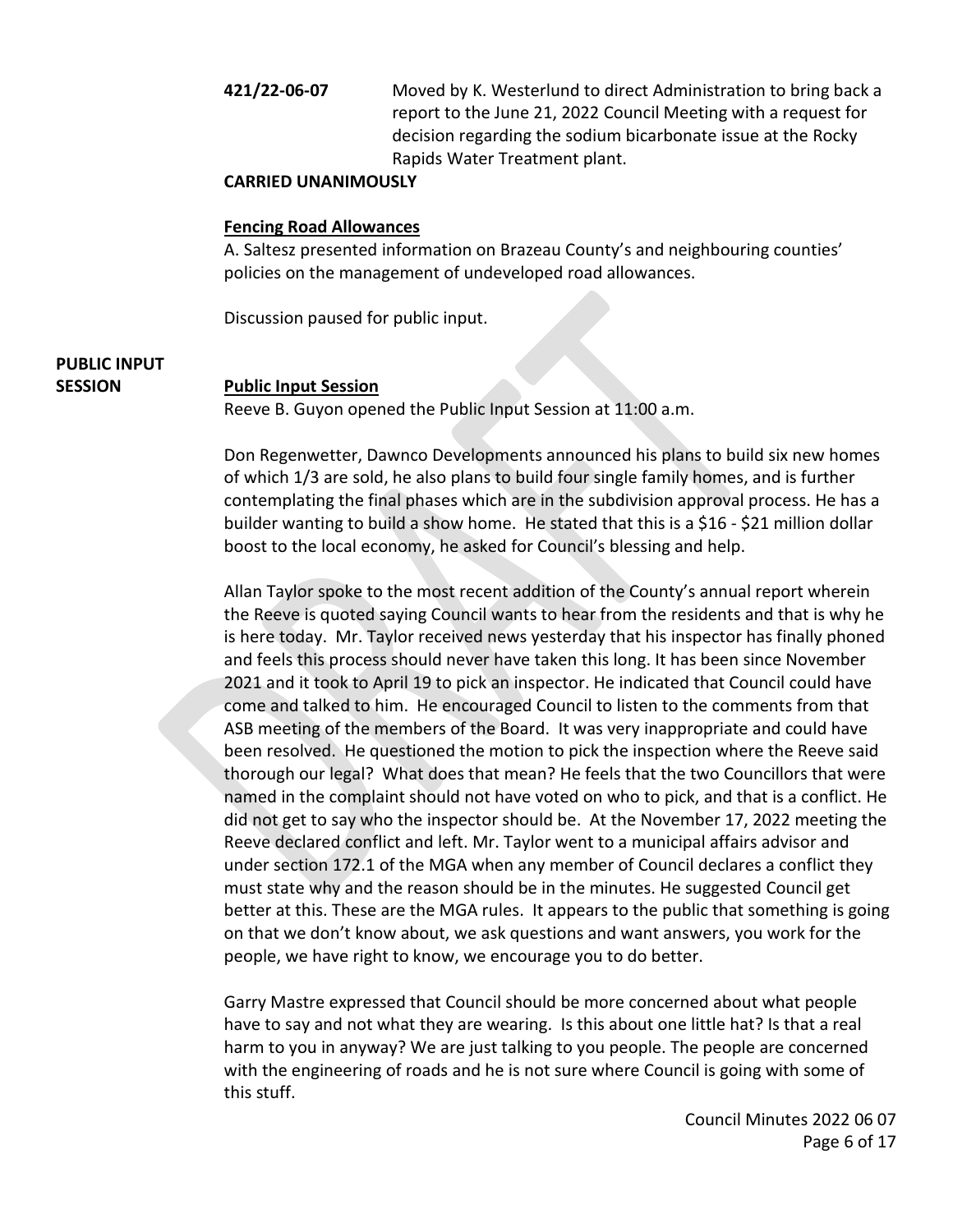**421/22-06-07** Moved by K. Westerlund to direct Administration to bring back a report to the June 21, 2022 Council Meeting with a request for decision regarding the sodium bicarbonate issue at the Rocky Rapids Water Treatment plant.

### **CARRIED UNANIMOUSLY**

### **Fencing Road Allowances**

A. Saltesz presented information on Brazeau County's and neighbouring counties' policies on the management of undeveloped road allowances.

Discussion paused for public input.

## **PUBLIC INPUT**

### **SESSION Public Input Session**

Reeve B. Guyon opened the Public Input Session at 11:00 a.m.

Don Regenwetter, Dawnco Developments announced his plans to build six new homes of which 1/3 are sold, he also plans to build four single family homes, and is further contemplating the final phases which are in the subdivision approval process. He has a builder wanting to build a show home. He stated that this is a \$16 - \$21 million dollar boost to the local economy, he asked for Council's blessing and help.

Allan Taylor spoke to the most recent addition of the County's annual report wherein the Reeve is quoted saying Council wants to hear from the residents and that is why he is here today. Mr. Taylor received news yesterday that his inspector has finally phoned and feels this process should never have taken this long. It has been since November 2021 and it took to April 19 to pick an inspector. He indicated that Council could have come and talked to him. He encouraged Council to listen to the comments from that ASB meeting of the members of the Board. It was very inappropriate and could have been resolved. He questioned the motion to pick the inspection where the Reeve said thorough our legal? What does that mean? He feels that the two Councillors that were named in the complaint should not have voted on who to pick, and that is a conflict. He did not get to say who the inspector should be. At the November 17, 2022 meeting the Reeve declared conflict and left. Mr. Taylor went to a municipal affairs advisor and under section 172.1 of the MGA when any member of Council declares a conflict they must state why and the reason should be in the minutes. He suggested Council get better at this. These are the MGA rules. It appears to the public that something is going on that we don't know about, we ask questions and want answers, you work for the people, we have right to know, we encourage you to do better.

Garry Mastre expressed that Council should be more concerned about what people have to say and not what they are wearing. Is this about one little hat? Is that a real harm to you in anyway? We are just talking to you people. The people are concerned with the engineering of roads and he is not sure where Council is going with some of this stuff.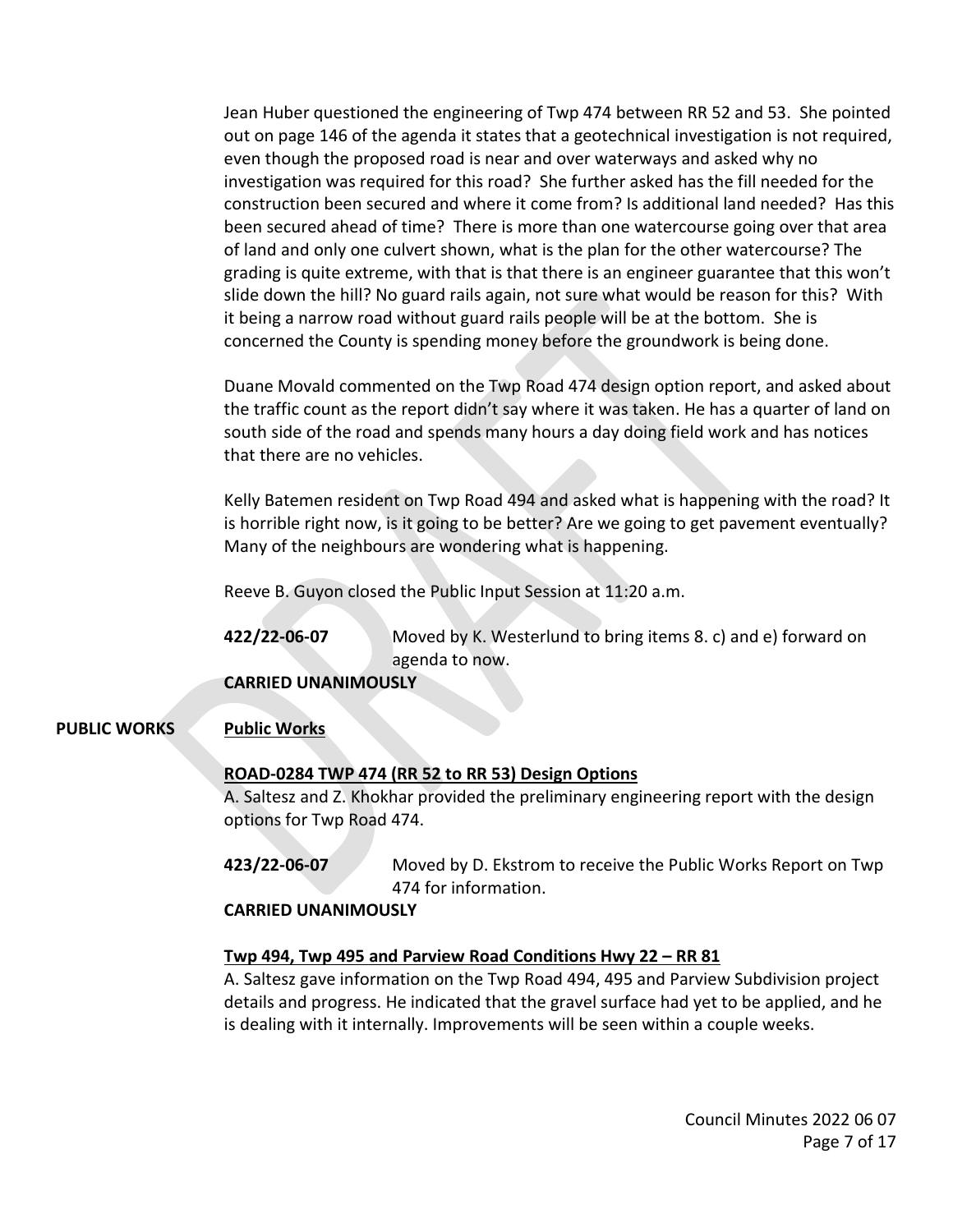Jean Huber questioned the engineering of Twp 474 between RR 52 and 53. She pointed out on page 146 of the agenda it states that a geotechnical investigation is not required, even though the proposed road is near and over waterways and asked why no investigation was required for this road? She further asked has the fill needed for the construction been secured and where it come from? Is additional land needed? Has this been secured ahead of time? There is more than one watercourse going over that area of land and only one culvert shown, what is the plan for the other watercourse? The grading is quite extreme, with that is that there is an engineer guarantee that this won't slide down the hill? No guard rails again, not sure what would be reason for this? With it being a narrow road without guard rails people will be at the bottom. She is concerned the County is spending money before the groundwork is being done.

Duane Movald commented on the Twp Road 474 design option report, and asked about the traffic count as the report didn't say where it was taken. He has a quarter of land on south side of the road and spends many hours a day doing field work and has notices that there are no vehicles.

Kelly Batemen resident on Twp Road 494 and asked what is happening with the road? It is horrible right now, is it going to be better? Are we going to get pavement eventually? Many of the neighbours are wondering what is happening.

Reeve B. Guyon closed the Public Input Session at 11:20 a.m.

**422/22-06-07** Moved by K. Westerlund to bring items 8. c) and e) forward on agenda to now.

**CARRIED UNANIMOUSLY** 

### **PUBLIC WORKS Public Works**

### **ROAD-0284 TWP 474 (RR 52 to RR 53) Design Options**

A. Saltesz and Z. Khokhar provided the preliminary engineering report with the design options for Twp Road 474.

**423/22-06-07** Moved by D. Ekstrom to receive the Public Works Report on Twp 474 for information.

### **CARRIED UNANIMOUSLY**

### **Twp 494, Twp 495 and Parview Road Conditions Hwy 22 – RR 81**

A. Saltesz gave information on the Twp Road 494, 495 and Parview Subdivision project details and progress. He indicated that the gravel surface had yet to be applied, and he is dealing with it internally. Improvements will be seen within a couple weeks.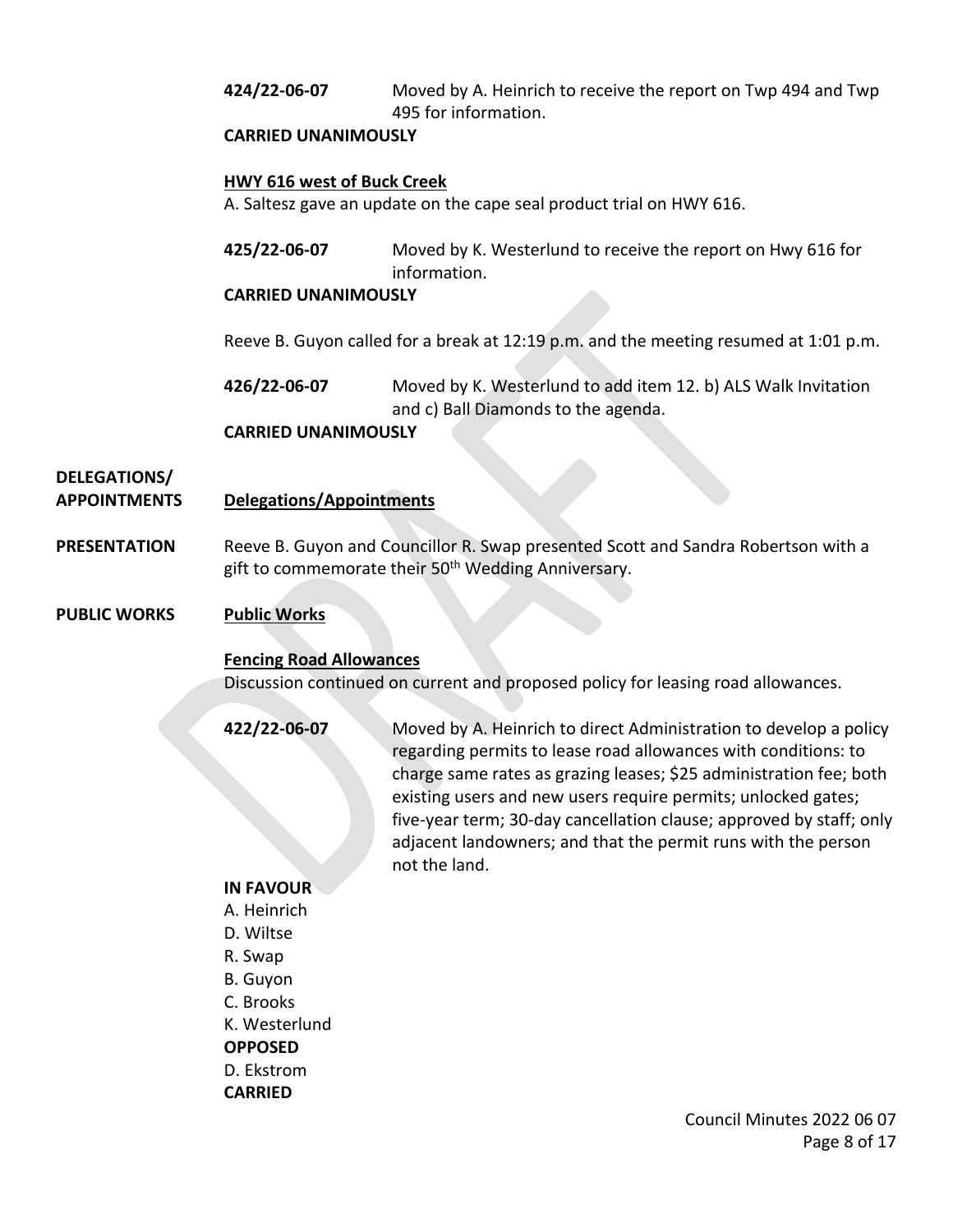**424/22-06-07** Moved by A. Heinrich to receive the report on Twp 494 and Twp 495 for information.

### **CARRIED UNANIMOUSLY**

### **HWY 616 west of Buck Creek**

A. Saltesz gave an update on the cape seal product trial on HWY 616.

**425/22-06-07** Moved by K. Westerlund to receive the report on Hwy 616 for information.

### **CARRIED UNANIMOUSLY**

Reeve B. Guyon called for a break at 12:19 p.m. and the meeting resumed at 1:01 p.m.

**426/22-06-07** Moved by K. Westerlund to add item 12. b) ALS Walk Invitation and c) Ball Diamonds to the agenda.

### **CARRIED UNANIMOUSLY**

# **DELEGATIONS/**

### **APPOINTMENTS Delegations/Appointments**

**PRESENTATION** Reeve B. Guyon and Councillor R. Swap presented Scott and Sandra Robertson with a gift to commemorate their 50<sup>th</sup> Wedding Anniversary.

### **PUBLIC WORKS Public Works**

### **Fencing Road Allowances**

Discussion continued on current and proposed policy for leasing road allowances.

**422/22-06-07** Moved by A. Heinrich to direct Administration to develop a policy regarding permits to lease road allowances with conditions: to charge same rates as grazing leases; \$25 administration fee; both existing users and new users require permits; unlocked gates; five-year term; 30-day cancellation clause; approved by staff; only adjacent landowners; and that the permit runs with the person not the land.

### **IN FAVOUR**

- A. Heinrich
- D. Wiltse
- R. Swap
- B. Guyon
- C. Brooks
- K. Westerlund

**OPPOSED**

D. Ekstrom

**CARRIED**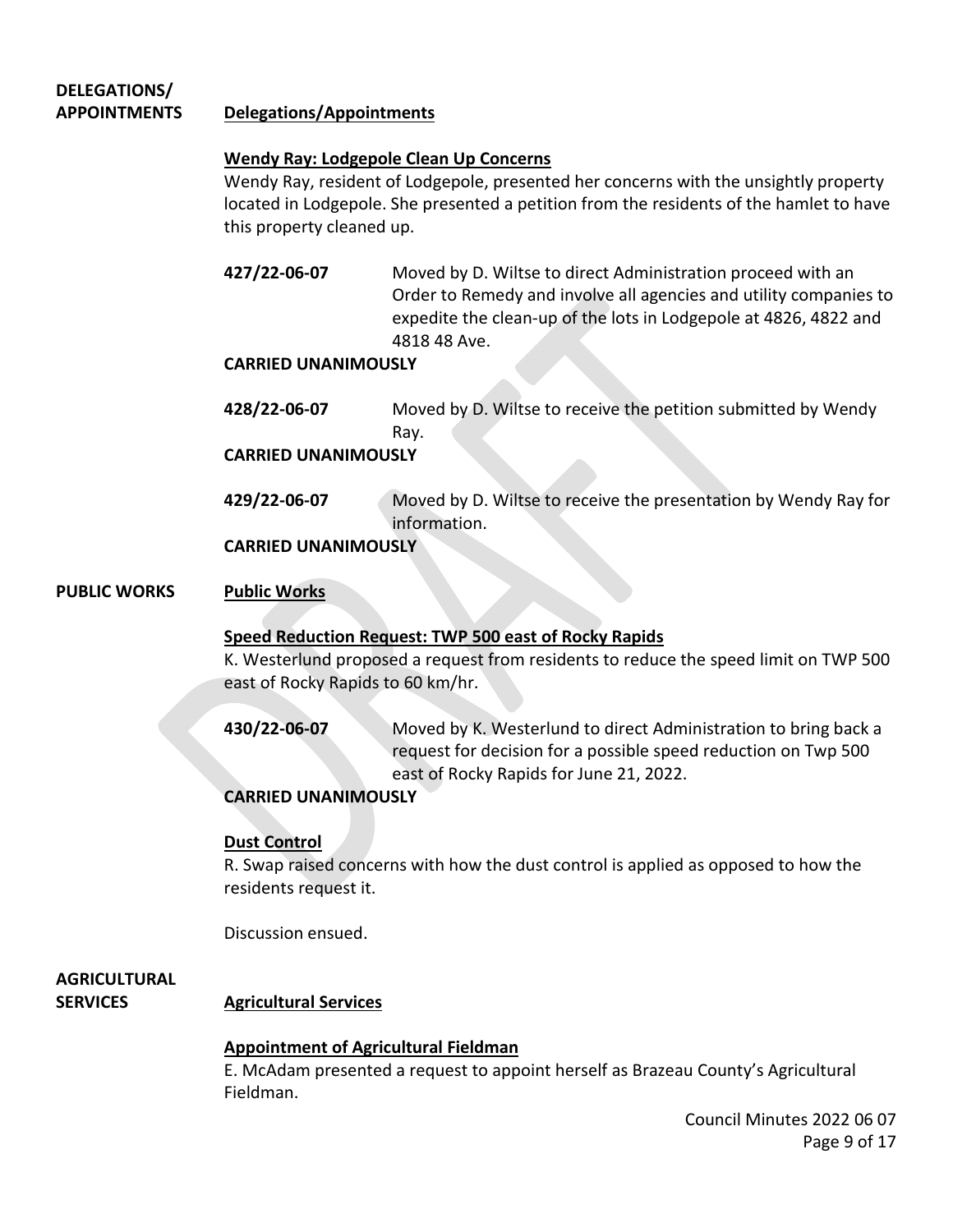### **DELEGATIONS/ APPOINTMENTS Delegations/Appointments**

### **Wendy Ray: Lodgepole Clean Up Concerns**

Wendy Ray, resident of Lodgepole, presented her concerns with the unsightly property located in Lodgepole. She presented a petition from the residents of the hamlet to have this property cleaned up.

**427/22-06-07** Moved by D. Wiltse to direct Administration proceed with an Order to Remedy and involve all agencies and utility companies to expedite the clean-up of the lots in Lodgepole at 4826, 4822 and 4818 48 Ave.

### **CARRIED UNANIMOUSLY**

**428/22-06-07** Moved by D. Wiltse to receive the petition submitted by Wendy Ray.

### **CARRIED UNANIMOUSLY**

**429/22-06-07** Moved by D. Wiltse to receive the presentation by Wendy Ray for information.

### **CARRIED UNANIMOUSLY**

### **PUBLIC WORKS Public Works**

### **Speed Reduction Request: TWP 500 east of Rocky Rapids**

K. Westerlund proposed a request from residents to reduce the speed limit on TWP 500 east of Rocky Rapids to 60 km/hr.

**430/22-06-07** Moved by K. Westerlund to direct Administration to bring back a request for decision for a possible speed reduction on Twp 500 east of Rocky Rapids for June 21, 2022.

### **CARRIED UNANIMOUSLY**

### **Dust Control**

R. Swap raised concerns with how the dust control is applied as opposed to how the residents request it.

Discussion ensued.

## **AGRICULTURAL**

### **SERVICES Agricultural Services**

### **Appointment of Agricultural Fieldman**

E. McAdam presented a request to appoint herself as Brazeau County's Agricultural Fieldman.

> Council Minutes 2022 06 07 Page 9 of 17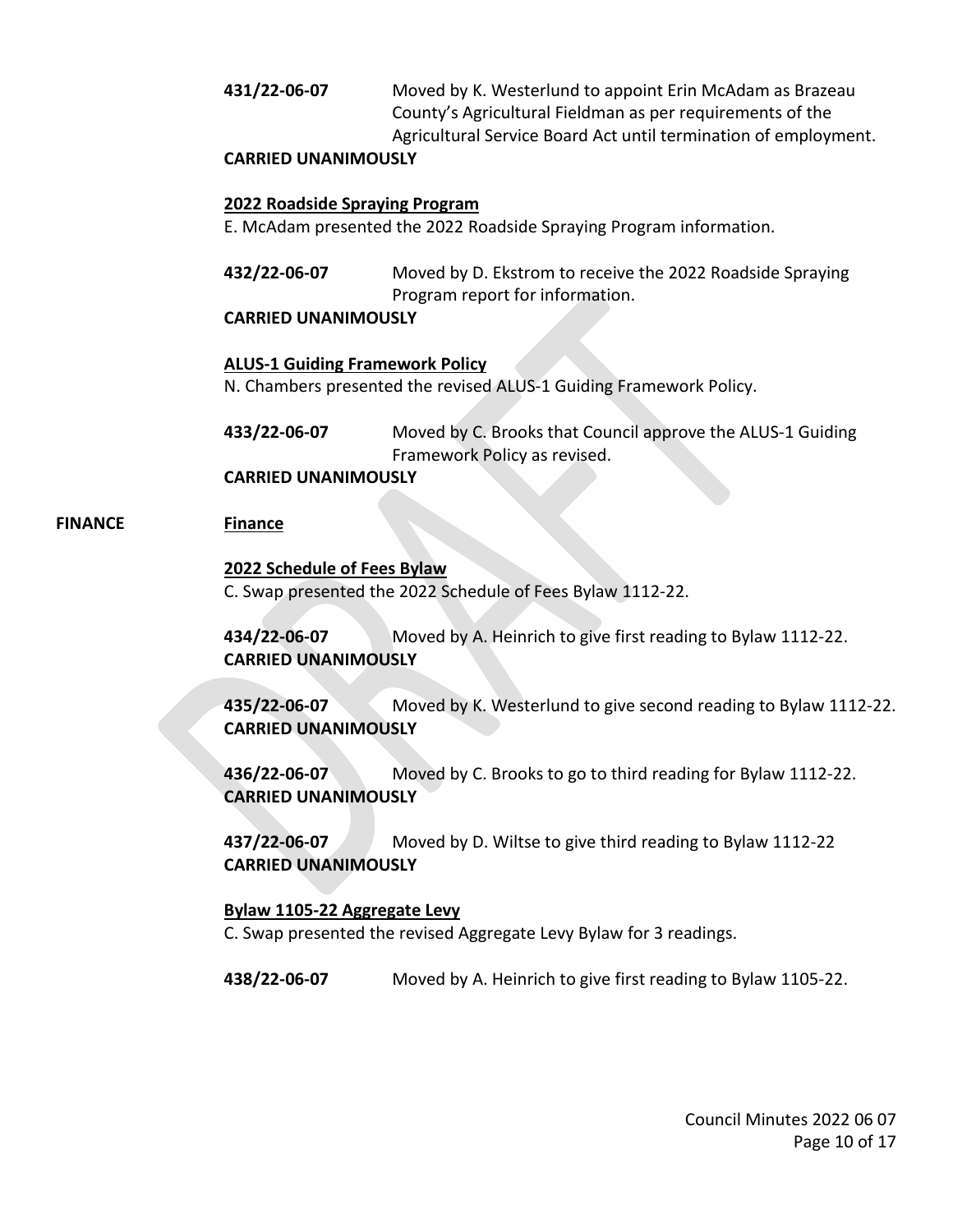### **431/22-06-07** Moved by K. Westerlund to appoint Erin McAdam as Brazeau County's Agricultural Fieldman as per requirements of the Agricultural Service Board Act until termination of employment.

### **CARRIED UNANIMOUSLY**

### **2022 Roadside Spraying Program**

E. McAdam presented the 2022 Roadside Spraying Program information.

**432/22-06-07** Moved by D. Ekstrom to receive the 2022 Roadside Spraying Program report for information.

### **CARRIED UNANIMOUSLY**

### **ALUS-1 Guiding Framework Policy**

N. Chambers presented the revised ALUS-1 Guiding Framework Policy.

**433/22-06-07** Moved by C. Brooks that Council approve the ALUS-1 Guiding Framework Policy as revised.

### **CARRIED UNANIMOUSLY**

### **FINANCE Finance**

### **2022 Schedule of Fees Bylaw**

C. Swap presented the 2022 Schedule of Fees Bylaw 1112-22.

**434/22-06-07** Moved by A. Heinrich to give first reading to Bylaw 1112-22. **CARRIED UNANIMOUSLY** 

**435/22-06-07** Moved by K. Westerlund to give second reading to Bylaw 1112-22. **CARRIED UNANIMOUSLY** 

**436/22-06-07** Moved by C. Brooks to go to third reading for Bylaw 1112-22. **CARRIED UNANIMOUSLY** 

**437/22-06-07** Moved by D. Wiltse to give third reading to Bylaw 1112-22 **CARRIED UNANIMOUSLY** 

### **Bylaw 1105-22 Aggregate Levy**

C. Swap presented the revised Aggregate Levy Bylaw for 3 readings.

**438/22-06-07** Moved by A. Heinrich to give first reading to Bylaw 1105-22.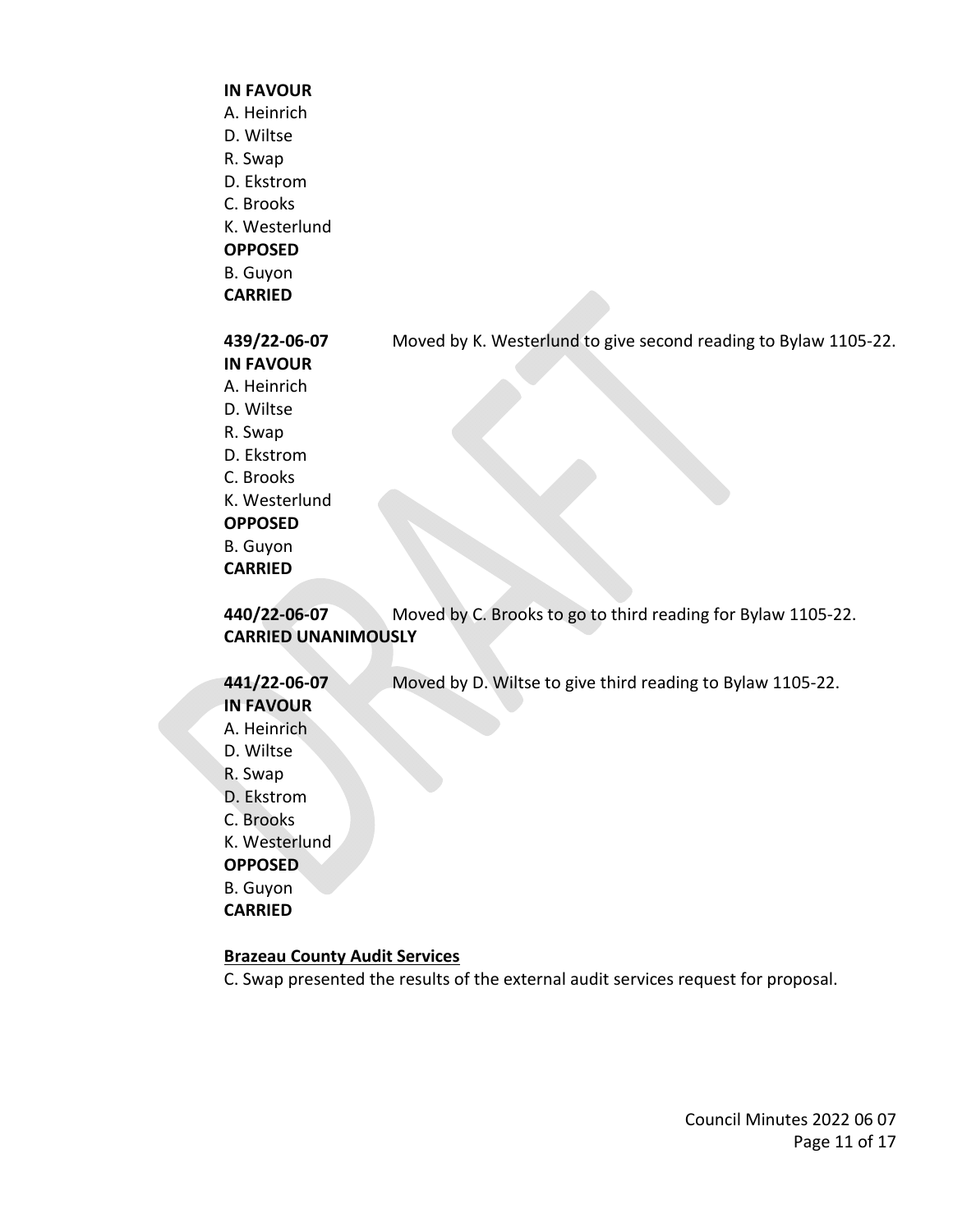#### **IN FAVOUR**

- A. Heinrich
- D. Wiltse
- R. Swap
- D. Ekstrom
- C. Brooks
- K. Westerlund
- **OPPOSED**

B. Guyon

**CARRIED**

### **439/22-06-07** Moved by K. Westerlund to give second reading to Bylaw 1105-22. **IN FAVOUR** A. Heinrich D. Wiltse R. Swap D. Ekstrom C. Brooks K. Westerlund **OPPOSED** B. Guyon **CARRIED 440/22-06-07** Moved by C. Brooks to go to third reading for Bylaw 1105-22.

**CARRIED UNANIMOUSLY** 

### **441/22-06-07** Moved by D. Wiltse to give third reading to Bylaw 1105-22. **IN FAVOUR**

- A. Heinrich
- D. Wiltse
- R. Swap
- D. Ekstrom
- C. Brooks

K. Westerlund

**OPPOSED**

B. Guyon

**CARRIED**

### **Brazeau County Audit Services**

C. Swap presented the results of the external audit services request for proposal.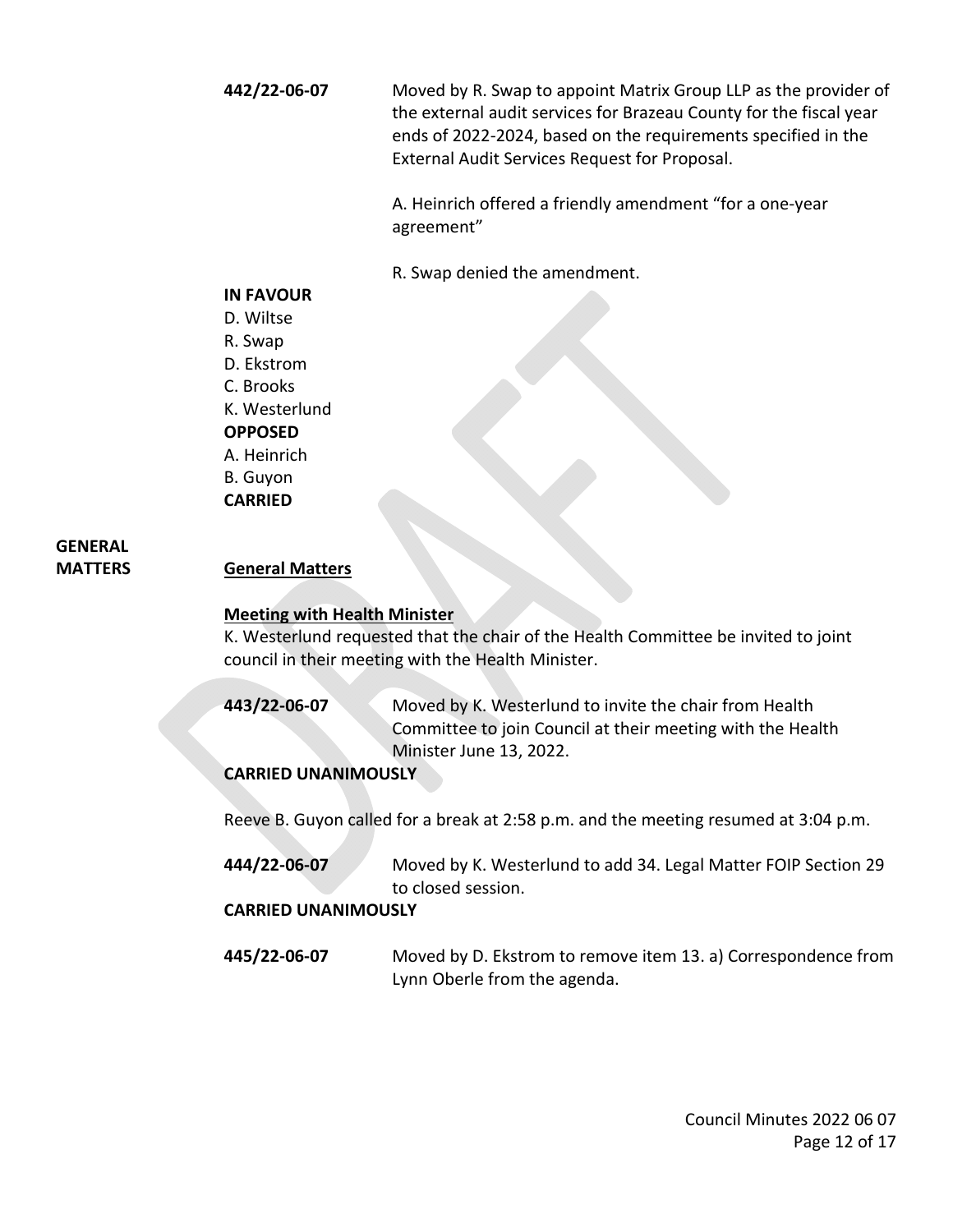**442/22-06-07** Moved by R. Swap to appoint Matrix Group LLP as the provider of the external audit services for Brazeau County for the fiscal year ends of 2022-2024, based on the requirements specified in the External Audit Services Request for Proposal.

> A. Heinrich offered a friendly amendment "for a one-year agreement"

R. Swap denied the amendment.

### **IN FAVOUR**

D. Wiltse R. Swap D. Ekstrom C. Brooks K. Westerlund

### **OPPOSED**

A. Heinrich

B. Guyon **CARRIED** 

## **GENERAL**

**MATTERS General Matters**

### **Meeting with Health Minister**

K. Westerlund requested that the chair of the Health Committee be invited to joint council in their meeting with the Health Minister.

**443/22-06-07** Moved by K. Westerlund to invite the chair from Health Committee to join Council at their meeting with the Health Minister June 13, 2022.

### **CARRIED UNANIMOUSLY**

Reeve B. Guyon called for a break at 2:58 p.m. and the meeting resumed at 3:04 p.m.

**444/22-06-07** Moved by K. Westerlund to add 34. Legal Matter FOIP Section 29 to closed session.

### **CARRIED UNANIMOUSLY**

**445/22-06-07** Moved by D. Ekstrom to remove item 13. a) Correspondence from Lynn Oberle from the agenda.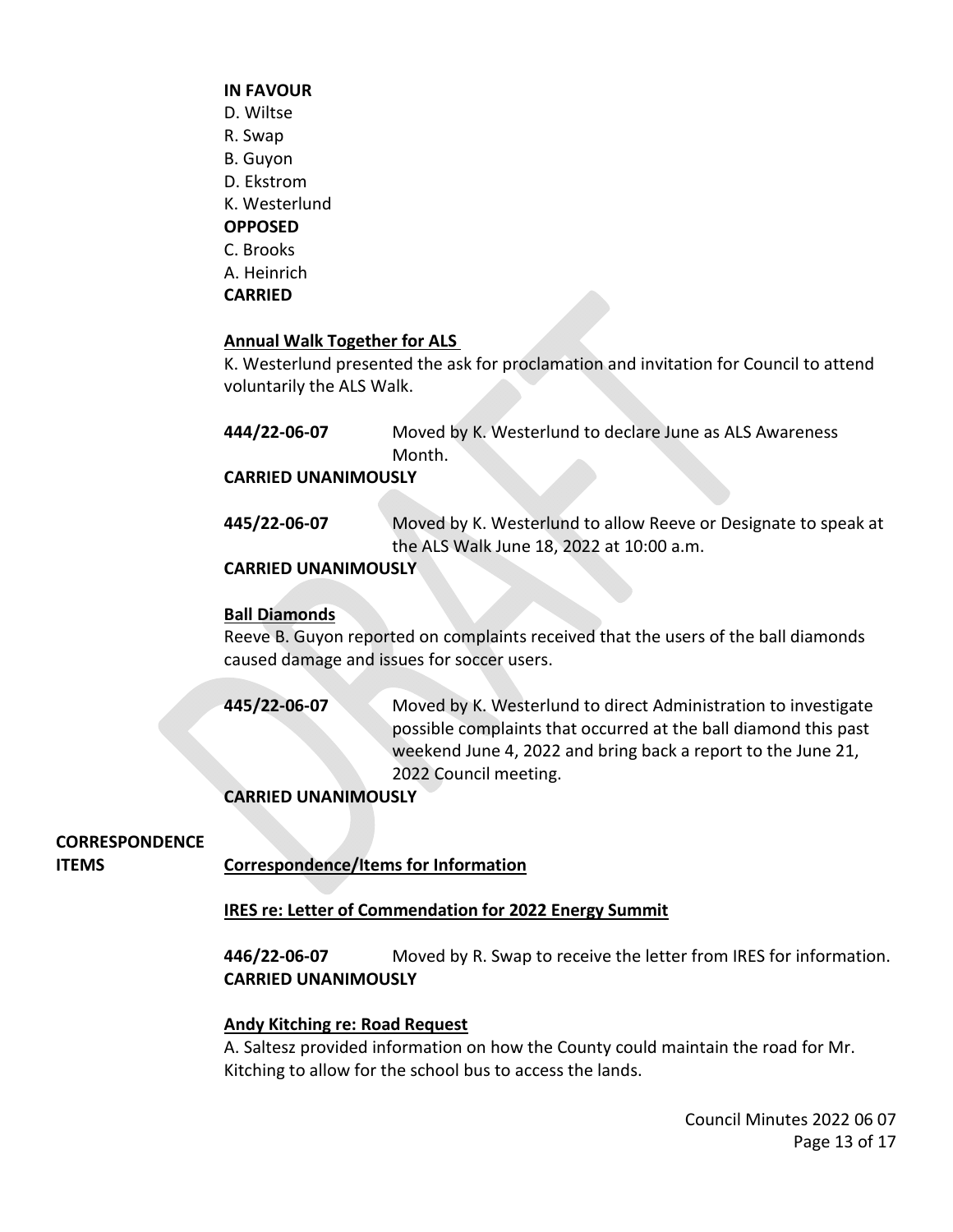### **IN FAVOUR**

- D. Wiltse
- R. Swap
- B. Guyon
- D. Ekstrom
- K. Westerlund

### **OPPOSED**

- C. Brooks
- A. Heinrich
- **CARRIED**

### **Annual Walk Together for ALS**

K. Westerlund presented the ask for proclamation and invitation for Council to attend voluntarily the ALS Walk.

**444/22-06-07** Moved by K. Westerlund to declare June as ALS Awareness Month.

### **CARRIED UNANIMOUSLY**

**445/22-06-07** Moved by K. Westerlund to allow Reeve or Designate to speak at the ALS Walk June 18, 2022 at 10:00 a.m.

### **CARRIED UNANIMOUSLY**

### **Ball Diamonds**

Reeve B. Guyon reported on complaints received that the users of the ball diamonds caused damage and issues for soccer users.

**445/22-06-07** Moved by K. Westerlund to direct Administration to investigate possible complaints that occurred at the ball diamond this past weekend June 4, 2022 and bring back a report to the June 21, 2022 Council meeting.

### **CARRIED UNANIMOUSLY**

### **CORRESPONDENCE**

**ITEMS Correspondence/Items for Information**

### **IRES re: Letter of Commendation for 2022 Energy Summit**

**446/22-06-07** Moved by R. Swap to receive the letter from IRES for information. **CARRIED UNANIMOUSLY** 

### **Andy Kitching re: Road Request**

A. Saltesz provided information on how the County could maintain the road for Mr. Kitching to allow for the school bus to access the lands.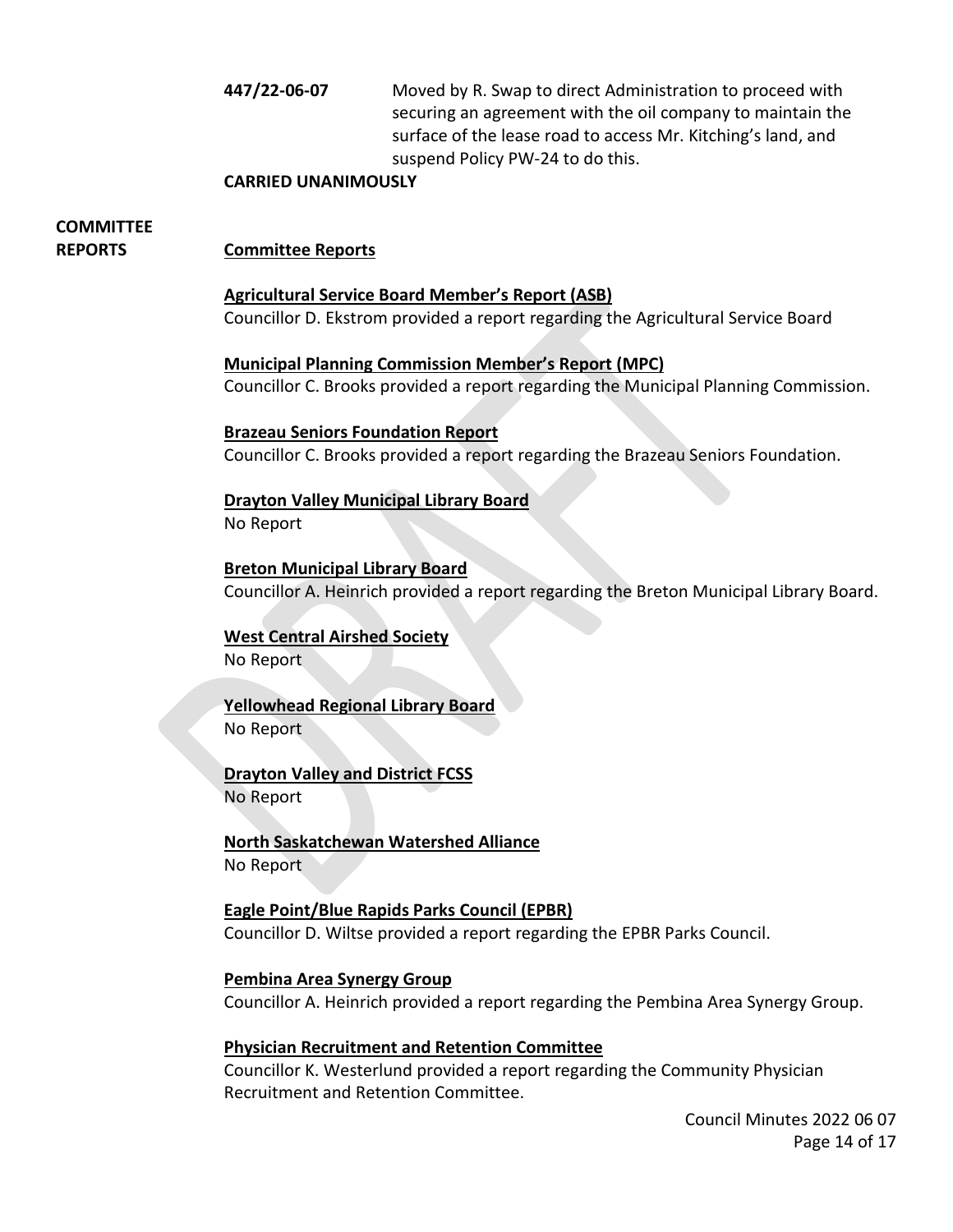**447/22-06-07** Moved by R. Swap to direct Administration to proceed with securing an agreement with the oil company to maintain the surface of the lease road to access Mr. Kitching's land, and suspend Policy PW-24 to do this.

### **CARRIED UNANIMOUSLY**

## **COMMITTEE**

### **REPORTS Committee Reports**

### **Agricultural Service Board Member's Report (ASB)**

Councillor D. Ekstrom provided a report regarding the Agricultural Service Board

**Municipal Planning Commission Member's Report (MPC)** Councillor C. Brooks provided a report regarding the Municipal Planning Commission.

### **Brazeau Seniors Foundation Report**

Councillor C. Brooks provided a report regarding the Brazeau Seniors Foundation.

### **Drayton Valley Municipal Library Board**

No Report

### **Breton Municipal Library Board**

Councillor A. Heinrich provided a report regarding the Breton Municipal Library Board.

### **West Central Airshed Society**

No Report

### **Yellowhead Regional Library Board**

No Report

### **Drayton Valley and District FCSS**

No Report

### **North Saskatchewan Watershed Alliance**

No Report

### **Eagle Point/Blue Rapids Parks Council (EPBR)**

Councillor D. Wiltse provided a report regarding the EPBR Parks Council.

### **Pembina Area Synergy Group**

Councillor A. Heinrich provided a report regarding the Pembina Area Synergy Group.

### **Physician Recruitment and Retention Committee**

Councillor K. Westerlund provided a report regarding the Community Physician Recruitment and Retention Committee.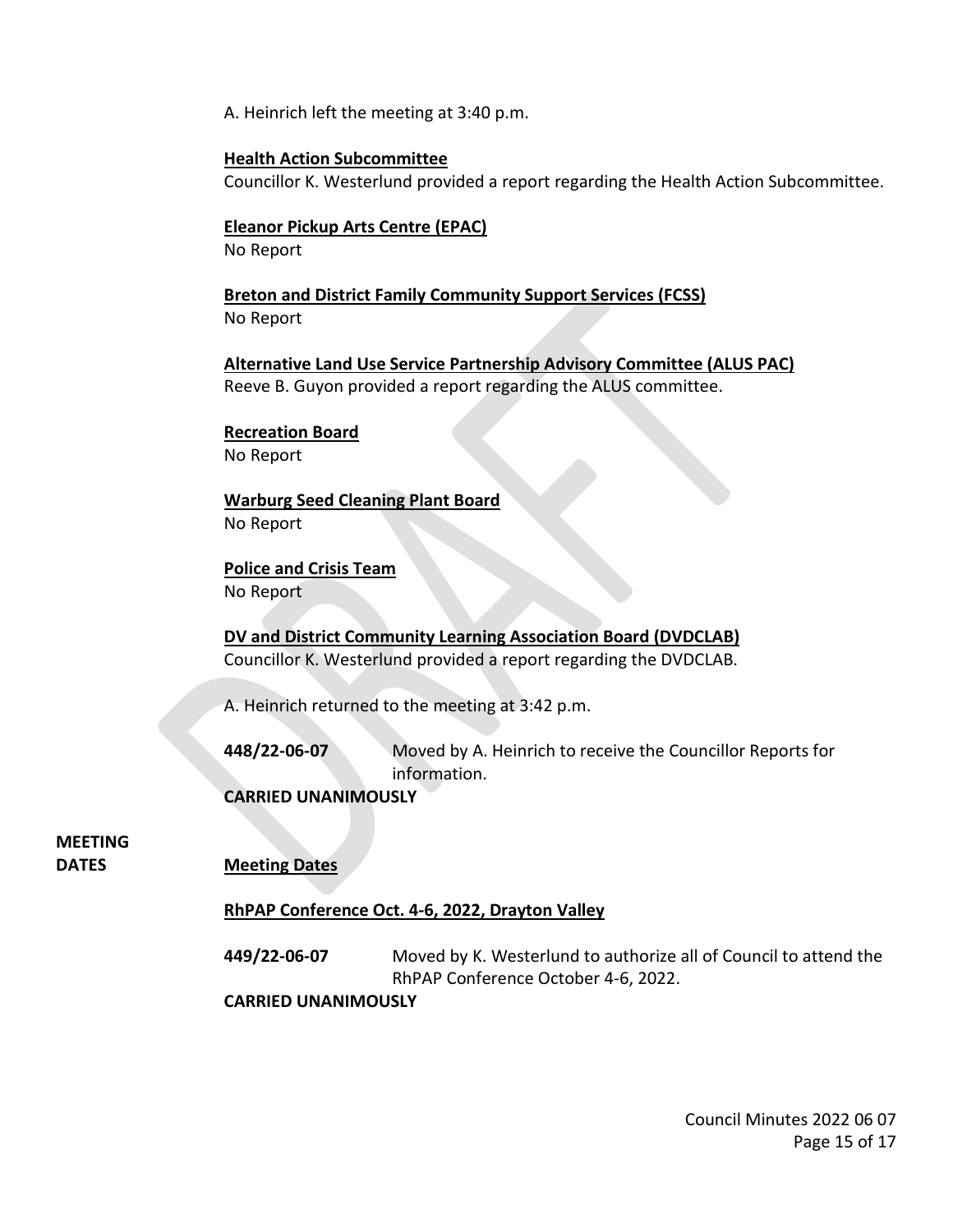A. Heinrich left the meeting at 3:40 p.m.

### **Health Action Subcommittee**

Councillor K. Westerlund provided a report regarding the Health Action Subcommittee.

### **Eleanor Pickup Arts Centre (EPAC)**

No Report

**Breton and District Family Community Support Services (FCSS)** No Report

**Alternative Land Use Service Partnership Advisory Committee (ALUS PAC)** Reeve B. Guyon provided a report regarding the ALUS committee.

## **Recreation Board**

No Report

### **Warburg Seed Cleaning Plant Board**

No Report

**Police and Crisis Team** No Report

### **DV and District Community Learning Association Board (DVDCLAB)**

Councillor K. Westerlund provided a report regarding the DVDCLAB.

A. Heinrich returned to the meeting at 3:42 p.m.

**448/22-06-07** Moved by A. Heinrich to receive the Councillor Reports for information.

**CARRIED UNANIMOUSLY** 

### **MEETING**

**DATES Meeting Dates**

### **RhPAP Conference Oct. 4-6, 2022, Drayton Valley**

**449/22-06-07** Moved by K. Westerlund to authorize all of Council to attend the RhPAP Conference October 4-6, 2022.

**CARRIED UNANIMOUSLY**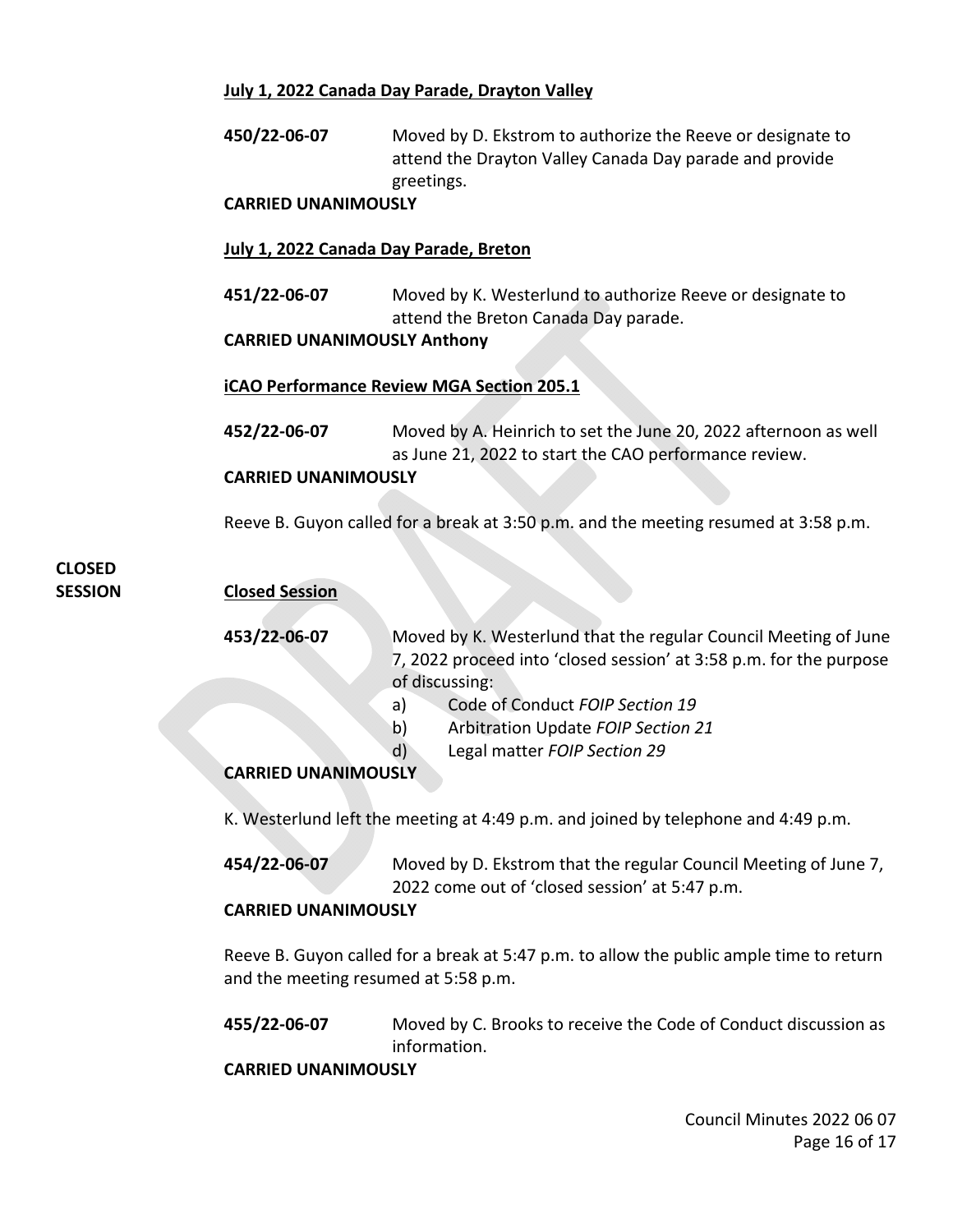### **July 1, 2022 Canada Day Parade, Drayton Valley**

**450/22-06-07** Moved by D. Ekstrom to authorize the Reeve or designate to attend the Drayton Valley Canada Day parade and provide greetings.

### **CARRIED UNANIMOUSLY**

### **July 1, 2022 Canada Day Parade, Breton**

**451/22-06-07** Moved by K. Westerlund to authorize Reeve or designate to attend the Breton Canada Day parade.

### **CARRIED UNANIMOUSLY Anthony**

### **iCAO Performance Review MGA Section 205.1**

**452/22-06-07** Moved by A. Heinrich to set the June 20, 2022 afternoon as well as June 21, 2022 to start the CAO performance review. **CARRIED UNANIMOUSLY** 

### Reeve B. Guyon called for a break at 3:50 p.m. and the meeting resumed at 3:58 p.m.

## **CLOSED**

**SESSION Closed Session**

**453/22-06-07** Moved by K. Westerlund that the regular Council Meeting of June 7, 2022 proceed into 'closed session' at 3:58 p.m. for the purpose of discussing:

- a) Code of Conduct *FOIP Section 19*
- b) Arbitration Update *FOIP Section 21*
- d) Legal matter *FOIP Section 29*

### **CARRIED UNANIMOUSLY**

K. Westerlund left the meeting at 4:49 p.m. and joined by telephone and 4:49 p.m.

**454/22-06-07** Moved by D. Ekstrom that the regular Council Meeting of June 7, 2022 come out of 'closed session' at 5:47 p.m.

### **CARRIED UNANIMOUSLY**

Reeve B. Guyon called for a break at 5:47 p.m. to allow the public ample time to return and the meeting resumed at 5:58 p.m.

**455/22-06-07** Moved by C. Brooks to receive the Code of Conduct discussion as information.

**CARRIED UNANIMOUSLY**